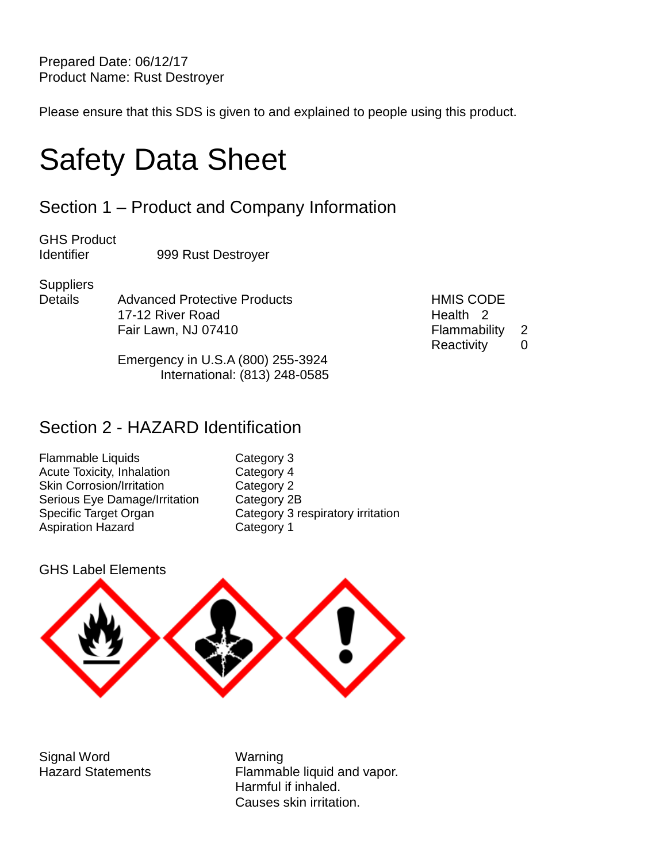Prepared Date: 06/12/17 Product Name: Rust Destroyer

Please ensure that this SDS is given to and explained to people using this product.

# Safety Data Sheet

## Section 1 – Product and Company Information

GHS Product Identifier 999 Rust Destroyer

**Suppliers** 

Details Advanced Protective Products HMIS CODE 17-12 River Road **Health** 2 Fair Lawn, NJ 07410 Flammability 2

Reactivity 0

Emergency in U.S.A (800) 255-3924 International: (813) 248-0585

### Section 2 - HAZARD Identification

Flammable Liquids Category 3 Acute Toxicity, Inhalation **Category 4** Skin Corrosion/Irritation Category 2 Serious Eye Damage/Irritation Category 2B Aspiration Hazard Category 1

Specific Target Organ Category 3 respiratory irritation

GHS Label Elements



Signal Word Warning

Hazard Statements Flammable liquid and vapor. Harmful if inhaled. Causes skin irritation.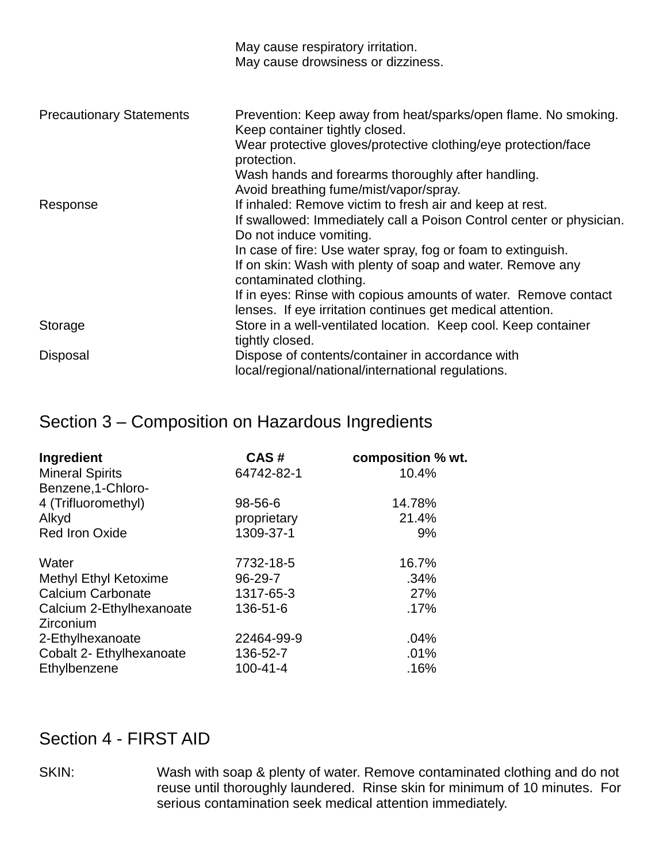|                                 | May cause respiratory irritation.<br>May cause drowsiness or dizziness.                                                                                     |
|---------------------------------|-------------------------------------------------------------------------------------------------------------------------------------------------------------|
|                                 |                                                                                                                                                             |
| <b>Precautionary Statements</b> | Prevention: Keep away from heat/sparks/open flame. No smoking.<br>Keep container tightly closed.                                                            |
|                                 | Wear protective gloves/protective clothing/eye protection/face<br>protection.                                                                               |
|                                 | Wash hands and forearms thoroughly after handling.<br>Avoid breathing fume/mist/vapor/spray.                                                                |
| Response                        | If inhaled: Remove victim to fresh air and keep at rest.<br>If swallowed: Immediately call a Poison Control center or physician.<br>Do not induce vomiting. |
|                                 | In case of fire: Use water spray, fog or foam to extinguish.<br>If on skin: Wash with plenty of soap and water. Remove any<br>contaminated clothing.        |
|                                 | If in eyes: Rinse with copious amounts of water. Remove contact<br>lenses. If eye irritation continues get medical attention.                               |
| Storage                         | Store in a well-ventilated location. Keep cool. Keep container<br>tightly closed.                                                                           |
| Disposal                        | Dispose of contents/container in accordance with<br>local/regional/national/international regulations.                                                      |

## Section 3 – Composition on Hazardous Ingredients

| Ingredient                            | CAS#           | composition % wt. |
|---------------------------------------|----------------|-------------------|
| <b>Mineral Spirits</b>                | 64742-82-1     | 10.4%             |
| Benzene, 1-Chloro-                    |                |                   |
| 4 (Trifluoromethyl)                   | 98-56-6        | 14.78%            |
| Alkyd                                 | proprietary    | 21.4%             |
| <b>Red Iron Oxide</b>                 | 1309-37-1      | 9%                |
| Water                                 | 7732-18-5      | 16.7%             |
| <b>Methyl Ethyl Ketoxime</b>          | 96-29-7        | .34%              |
| <b>Calcium Carbonate</b>              | 1317-65-3      | 27%               |
| Calcium 2-Ethylhexanoate<br>Zirconium | 136-51-6       | .17%              |
| 2-Ethylhexanoate                      | 22464-99-9     | .04%              |
| Cobalt 2- Ethylhexanoate              | 136-52-7       | .01%              |
| Ethylbenzene                          | $100 - 41 - 4$ | .16%              |

### Section 4 - FIRST AID

SKIN: Wash with soap & plenty of water. Remove contaminated clothing and do not reuse until thoroughly laundered. Rinse skin for minimum of 10 minutes. For serious contamination seek medical attention immediately.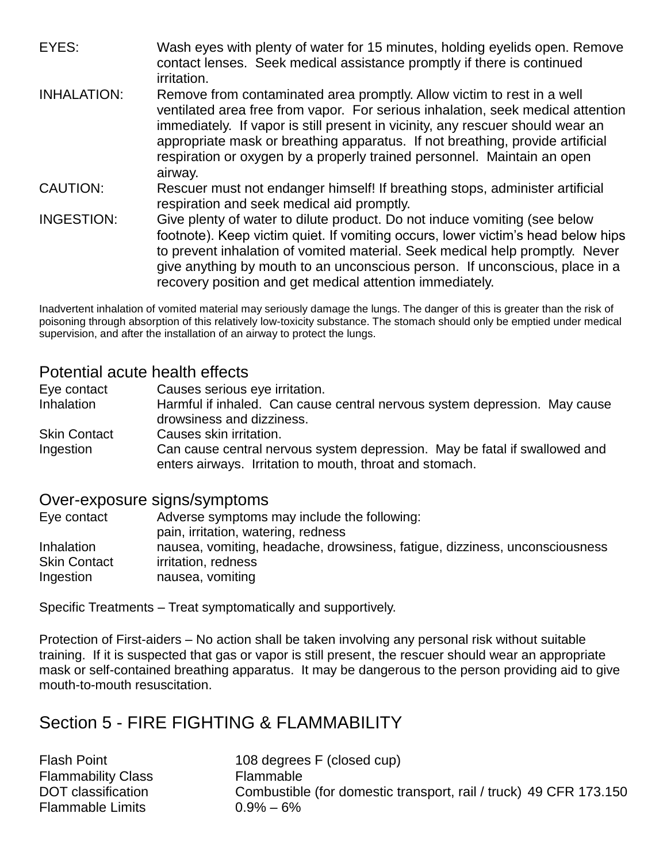EYES: Wash eyes with plenty of water for 15 minutes, holding eyelids open. Remove contact lenses. Seek medical assistance promptly if there is continued irritation.

- INHALATION: Remove from contaminated area promptly. Allow victim to rest in a well ventilated area free from vapor. For serious inhalation, seek medical attention immediately. If vapor is still present in vicinity, any rescuer should wear an appropriate mask or breathing apparatus. If not breathing, provide artificial respiration or oxygen by a properly trained personnel. Maintain an open airway.
- CAUTION: Rescuer must not endanger himself! If breathing stops, administer artificial respiration and seek medical aid promptly.
- INGESTION: Give plenty of water to dilute product. Do not induce vomiting (see below footnote). Keep victim quiet. If vomiting occurs, lower victim's head below hips to prevent inhalation of vomited material. Seek medical help promptly. Never give anything by mouth to an unconscious person. If unconscious, place in a recovery position and get medical attention immediately.

Inadvertent inhalation of vomited material may seriously damage the lungs. The danger of this is greater than the risk of poisoning through absorption of this relatively low-toxicity substance. The stomach should only be emptied under medical supervision, and after the installation of an airway to protect the lungs.

#### Potential acute health effects

Eye contact Causes serious eye irritation. Inhalation **Harmful if inhaled.** Can cause central nervous system depression. May cause drowsiness and dizziness.

Skin Contact Causes skin irritation.

Ingestion Can cause central nervous system depression. May be fatal if swallowed and enters airways. Irritation to mouth, throat and stomach.

#### Over-exposure signs/symptoms

| Eye contact         | Adverse symptoms may include the following:                                 |
|---------------------|-----------------------------------------------------------------------------|
|                     | pain, irritation, watering, redness                                         |
| <b>Inhalation</b>   | nausea, vomiting, headache, drowsiness, fatigue, dizziness, unconsciousness |
| <b>Skin Contact</b> | irritation, redness                                                         |
| Ingestion           | nausea, vomiting                                                            |

Specific Treatments – Treat symptomatically and supportively.

Protection of First-aiders – No action shall be taken involving any personal risk without suitable training. If it is suspected that gas or vapor is still present, the rescuer should wear an appropriate mask or self-contained breathing apparatus. It may be dangerous to the person providing aid to give mouth-to-mouth resuscitation.

## Section 5 - FIRE FIGHTING & FLAMMABILITY

Flammability Class Flammable Flammable Limits 0.9% – 6%

Flash Point 108 degrees F (closed cup) DOT classification Combustible (for domestic transport, rail / truck) 49 CFR 173.150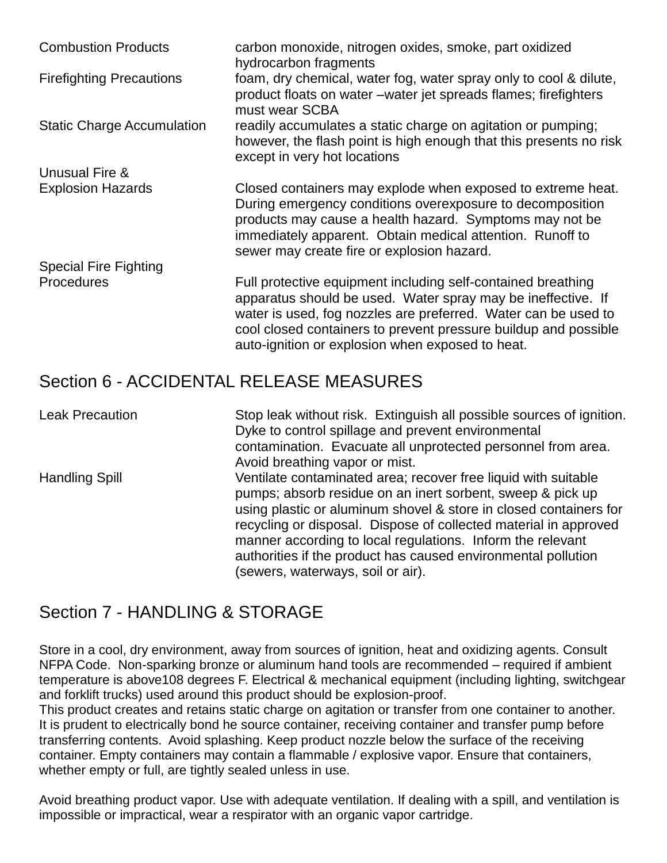| <b>Combustion Products</b>        | carbon monoxide, nitrogen oxides, smoke, part oxidized<br>hydrocarbon fragments                                                                                                                                                                                                                                       |
|-----------------------------------|-----------------------------------------------------------------------------------------------------------------------------------------------------------------------------------------------------------------------------------------------------------------------------------------------------------------------|
| <b>Firefighting Precautions</b>   | foam, dry chemical, water fog, water spray only to cool & dilute,<br>product floats on water – water jet spreads flames; firefighters<br>must wear SCBA                                                                                                                                                               |
| <b>Static Charge Accumulation</b> | readily accumulates a static charge on agitation or pumping;<br>however, the flash point is high enough that this presents no risk<br>except in very hot locations                                                                                                                                                    |
| Unusual Fire &                    |                                                                                                                                                                                                                                                                                                                       |
| <b>Explosion Hazards</b>          | Closed containers may explode when exposed to extreme heat.<br>During emergency conditions overexposure to decomposition<br>products may cause a health hazard. Symptoms may not be<br>immediately apparent. Obtain medical attention. Runoff to<br>sewer may create fire or explosion hazard.                        |
| <b>Special Fire Fighting</b>      |                                                                                                                                                                                                                                                                                                                       |
| <b>Procedures</b>                 | Full protective equipment including self-contained breathing<br>apparatus should be used. Water spray may be ineffective. If<br>water is used, fog nozzles are preferred. Water can be used to<br>cool closed containers to prevent pressure buildup and possible<br>auto-ignition or explosion when exposed to heat. |

## Section 6 - ACCIDENTAL RELEASE MEASURES

Leak Precaution Stop leak without risk. Extinguish all possible sources of ignition. Dyke to control spillage and prevent environmental contamination. Evacuate all unprotected personnel from area. Avoid breathing vapor or mist. Handling Spill Ventilate contaminated area; recover free liquid with suitable pumps; absorb residue on an inert sorbent, sweep & pick up using plastic or aluminum shovel & store in closed containers for recycling or disposal. Dispose of collected material in approved manner according to local regulations. Inform the relevant authorities if the product has caused environmental pollution (sewers, waterways, soil or air).

### Section 7 - HANDLING & STORAGE

Store in a cool, dry environment, away from sources of ignition, heat and oxidizing agents. Consult NFPA Code. Non-sparking bronze or aluminum hand tools are recommended – required if ambient temperature is above108 degrees F. Electrical & mechanical equipment (including lighting, switchgear and forklift trucks) used around this product should be explosion-proof.

This product creates and retains static charge on agitation or transfer from one container to another. It is prudent to electrically bond he source container, receiving container and transfer pump before transferring contents. Avoid splashing. Keep product nozzle below the surface of the receiving container. Empty containers may contain a flammable / explosive vapor. Ensure that containers, whether empty or full, are tightly sealed unless in use.

Avoid breathing product vapor. Use with adequate ventilation. If dealing with a spill, and ventilation is impossible or impractical, wear a respirator with an organic vapor cartridge.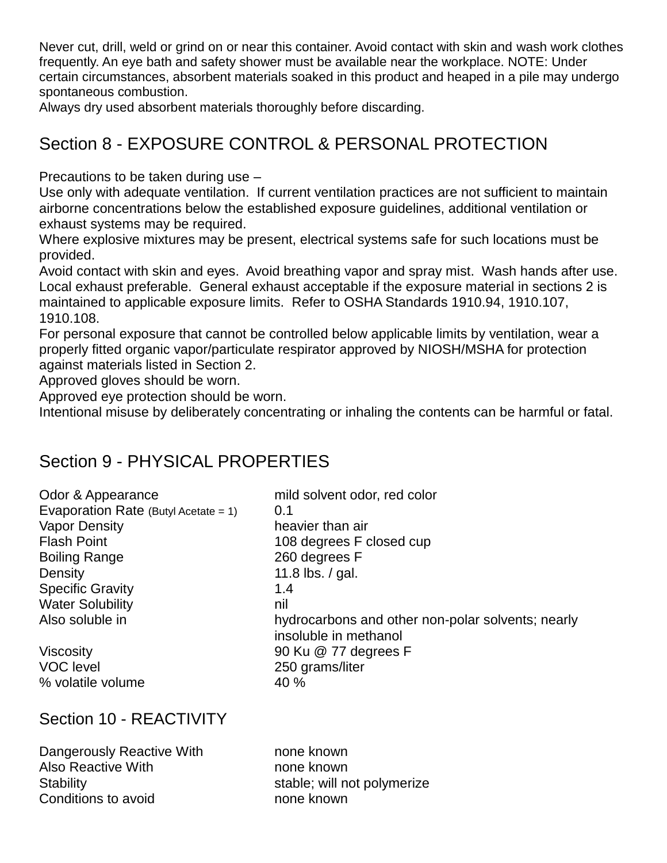Never cut, drill, weld or grind on or near this container. Avoid contact with skin and wash work clothes frequently. An eye bath and safety shower must be available near the workplace. NOTE: Under certain circumstances, absorbent materials soaked in this product and heaped in a pile may undergo spontaneous combustion.

Always dry used absorbent materials thoroughly before discarding.

## Section 8 - EXPOSURE CONTROL & PERSONAL PROTECTION

Precautions to be taken during use –

Use only with adequate ventilation. If current ventilation practices are not sufficient to maintain airborne concentrations below the established exposure guidelines, additional ventilation or exhaust systems may be required.

Where explosive mixtures may be present, electrical systems safe for such locations must be provided.

Avoid contact with skin and eyes. Avoid breathing vapor and spray mist. Wash hands after use. Local exhaust preferable. General exhaust acceptable if the exposure material in sections 2 is maintained to applicable exposure limits. Refer to OSHA Standards 1910.94, 1910.107, 1910.108.

For personal exposure that cannot be controlled below applicable limits by ventilation, wear a properly fitted organic vapor/particulate respirator approved by NIOSH/MSHA for protection against materials listed in Section 2.

Approved gloves should be worn.

Approved eye protection should be worn.

Intentional misuse by deliberately concentrating or inhaling the contents can be harmful or fatal.

mild solvent odor, red color

### Section 9 - PHYSICAL PROPERTIES

| Odor & Appearance                       | milc |
|-----------------------------------------|------|
| Evaporation Rate (Butyl Acetate = $1$ ) | 0.1  |
| <b>Vapor Density</b>                    | hea  |
| <b>Flash Point</b>                      | 108  |
| <b>Boiling Range</b>                    | 260  |
| Density                                 | 11.8 |
| <b>Specific Gravity</b>                 | 1.4  |
| <b>Water Solubility</b>                 | nil  |
| Also soluble in                         | hyd  |
|                                         |      |

VOC level 250 grams/liter % volatile volume 40 %

heavier than air 108 degrees F closed cup 260 degrees F 11.8 lbs.  $/$  gal. hydrocarbons and other non-polar solvents; nearly insoluble in methanol Viscosity 90 Ku @ 77 degrees F

#### Section 10 - REACTIVITY

Dangerously Reactive With **none** known Also Reactive With none known Stability stable; will not polymerize Conditions to avoid example to the none known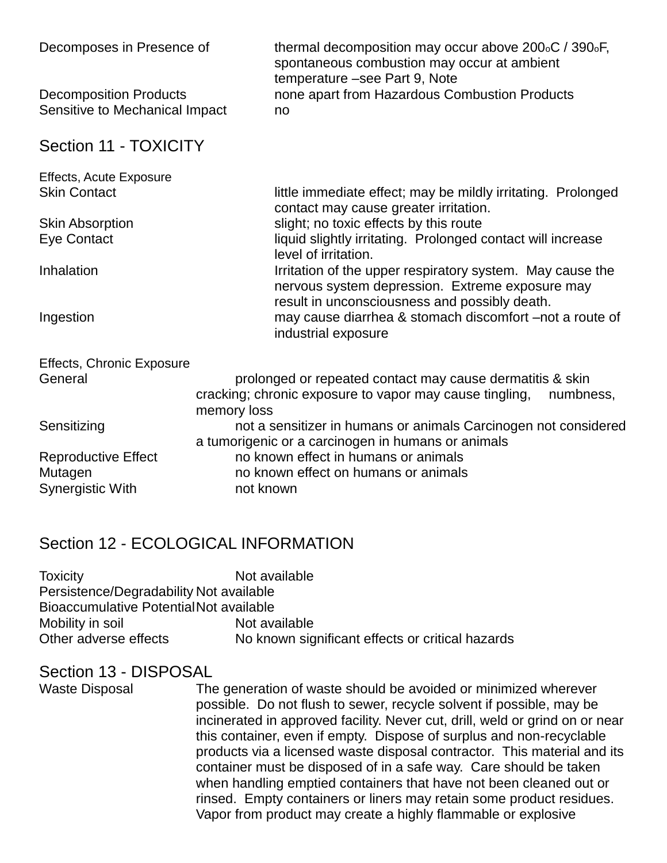| Decomposes in Presence of                                       | thermal decomposition may occur above 200 <sub>°</sub> C / 390°F,<br>spontaneous combustion may occur at ambient<br>temperature -see Part 9, Note |
|-----------------------------------------------------------------|---------------------------------------------------------------------------------------------------------------------------------------------------|
| <b>Decomposition Products</b><br>Sensitive to Mechanical Impact | none apart from Hazardous Combustion Products<br>no                                                                                               |
| Section 11 - TOXICITY                                           |                                                                                                                                                   |
| <b>Effects, Acute Exposure</b>                                  |                                                                                                                                                   |
| <b>Skin Contact</b>                                             | little immediate effect; may be mildly irritating. Prolonged<br>contact may cause greater irritation.                                             |
| <b>Skin Absorption</b>                                          | slight; no toxic effects by this route                                                                                                            |
| Eye Contact                                                     | liquid slightly irritating. Prolonged contact will increase<br>level of irritation.                                                               |
| Inhalation                                                      | Irritation of the upper respiratory system. May cause the<br>nervous system depression. Extreme exposure may                                      |
| Ingestion                                                       | result in unconsciousness and possibly death.<br>may cause diarrhea & stomach discomfort –not a route of<br>industrial exposure                   |
| <b>Effects, Chronic Exposure</b>                                |                                                                                                                                                   |
| General                                                         | prolonged or repeated contact may cause dermatitis & skin                                                                                         |
|                                                                 | cracking; chronic exposure to vapor may cause tingling,<br>numbness,                                                                              |
|                                                                 | memory loss                                                                                                                                       |
| Sensitizing                                                     | not a sensitizer in humans or animals Carcinogen not considered                                                                                   |
|                                                                 | a tumorigenic or a carcinogen in humans or animals                                                                                                |
| <b>Reproductive Effect</b>                                      | no known effect in humans or animals                                                                                                              |
| Mutagen                                                         | no known effect on humans or animals                                                                                                              |
| Synergistic With                                                | not known                                                                                                                                         |

#### Section 12 - ECOLOGICAL INFORMATION

| <b>Toxicity</b>                         | Not available                                    |
|-----------------------------------------|--------------------------------------------------|
| Persistence/Degradability Not available |                                                  |
| Bioaccumulative Potential Not available |                                                  |
| Mobility in soil                        | Not available                                    |
| Other adverse effects                   | No known significant effects or critical hazards |

#### Section 13 - DISPOSAL

Waste Disposal The generation of waste should be avoided or minimized wherever possible. Do not flush to sewer, recycle solvent if possible, may be incinerated in approved facility. Never cut, drill, weld or grind on or near this container, even if empty. Dispose of surplus and non-recyclable products via a licensed waste disposal contractor. This material and its container must be disposed of in a safe way. Care should be taken when handling emptied containers that have not been cleaned out or rinsed. Empty containers or liners may retain some product residues. Vapor from product may create a highly flammable or explosive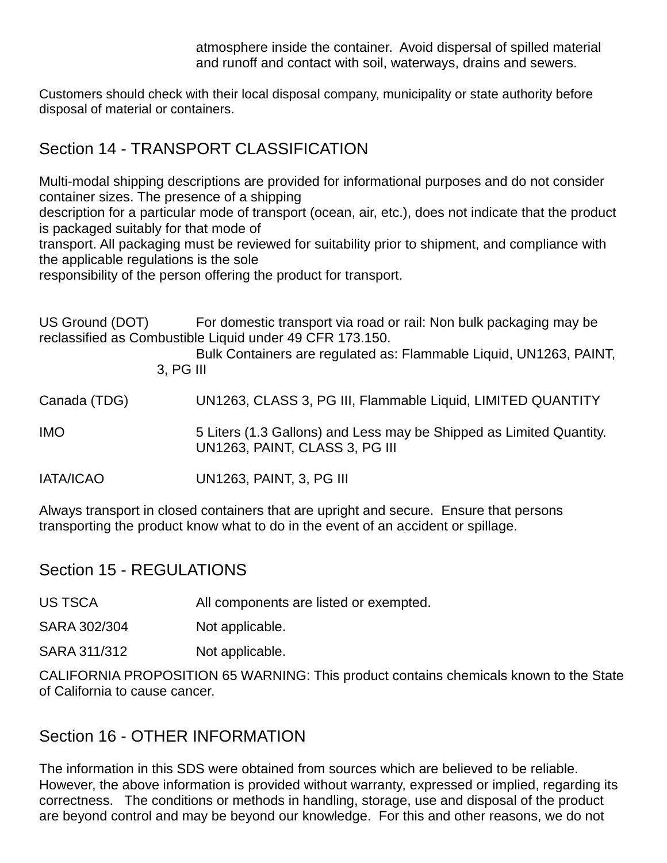atmosphere inside the container. Avoid dispersal of spilled material and runoff and contact with soil, waterways, drains and sewers.

Customers should check with their local disposal company, municipality or state authority before disposal of material or containers.

## Section 14 - TRANSPORT CLASSIFICATION

Multi-modal shipping descriptions are provided for informational purposes and do not consider container sizes. The presence of a shipping

description for a particular mode of transport (ocean, air, etc.), does not indicate that the product is packaged suitably for that mode of

transport. All packaging must be reviewed for suitability prior to shipment, and compliance with the applicable regulations is the sole

responsibility of the person offering the product for transport.

US Ground (DOT) For domestic transport via road or rail: Non bulk packaging may be reclassified as Combustible Liquid under 49 CFR 173.150.

Bulk Containers are regulated as: Flammable Liquid, UN1263, PAINT, 3, PG III

Canada (TDG) UN1263, CLASS 3, PG III, Flammable Liquid, LIMITED QUANTITY

IMO 5 Liters (1.3 Gallons) and Less may be Shipped as Limited Quantity. UN1263, PAINT, CLASS 3, PG III

IATA/ICAO UN1263, PAINT, 3, PG III

Always transport in closed containers that are upright and secure. Ensure that persons transporting the product know what to do in the event of an accident or spillage.

Section 15 - REGULATIONS

US TSCA All components are listed or exempted.

SARA 302/304 Not applicable.

SARA 311/312 Not applicable.

CALIFORNIA PROPOSITION 65 WARNING: This product contains chemicals known to the State of California to cause cancer.

#### Section 16 - OTHER INFORMATION

The information in this SDS were obtained from sources which are believed to be reliable. However, the above information is provided without warranty, expressed or implied, regarding its correctness. The conditions or methods in handling, storage, use and disposal of the product are beyond control and may be beyond our knowledge. For this and other reasons, we do not